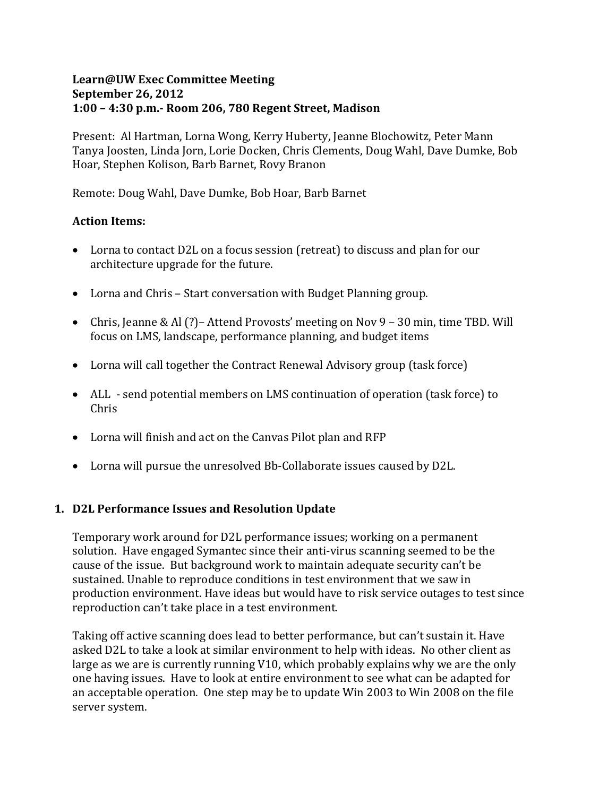#### **Learn@UW Exec Committee Meeting September 26, 2012 1:00 – 4:30 p.m.- Room 206, 780 Regent Street, Madison**

Present: Al Hartman, Lorna Wong, Kerry Huberty, Jeanne Blochowitz, Peter Mann Tanya Joosten, Linda Jorn, Lorie Docken, Chris Clements, Doug Wahl, Dave Dumke, Bob Hoar, Stephen Kolison, Barb Barnet, Rovy Branon

Remote: Doug Wahl, Dave Dumke, Bob Hoar, Barb Barnet

### **Action Items:**

- Lorna to contact D2L on a focus session (retreat) to discuss and plan for our architecture upgrade for the future.
- Lorna and Chris Start conversation with Budget Planning group.
- Chris, Jeanne & Al (?) Attend Provosts' meeting on Nov 9 30 min, time TBD. Will focus on LMS, landscape, performance planning, and budget items
- Lorna will call together the Contract Renewal Advisory group (task force)
- ALL send potential members on LMS continuation of operation (task force) to Chris
- Lorna will finish and act on the Canvas Pilot plan and RFP
- Lorna will pursue the unresolved Bb-Collaborate issues caused by D2L.

# **1. D2L Performance Issues and Resolution Update**

Temporary work around for D2L performance issues; working on a permanent solution. Have engaged Symantec since their anti-virus scanning seemed to be the cause of the issue. But background work to maintain adequate security can't be sustained. Unable to reproduce conditions in test environment that we saw in production environment. Have ideas but would have to risk service outages to test since reproduction can't take place in a test environment.

Taking off active scanning does lead to better performance, but can't sustain it. Have asked D2L to take a look at similar environment to help with ideas. No other client as large as we are is currently running V10, which probably explains why we are the only one having issues. Have to look at entire environment to see what can be adapted for an acceptable operation. One step may be to update Win 2003 to Win 2008 on the file server system.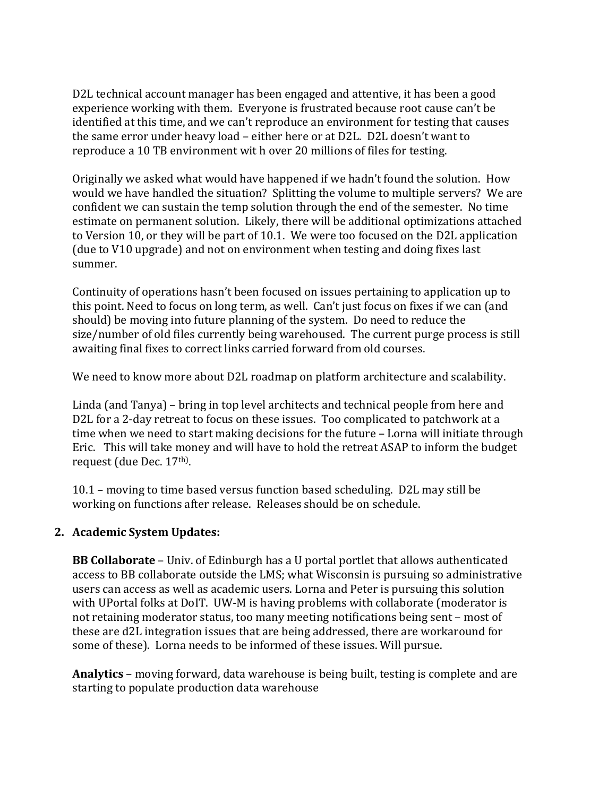D2L technical account manager has been engaged and attentive, it has been a good experience working with them. Everyone is frustrated because root cause can't be identified at this time, and we can't reproduce an environment for testing that causes the same error under heavy load – either here or at D2L. D2L doesn't want to reproduce a 10 TB environment wit h over 20 millions of files for testing.

Originally we asked what would have happened if we hadn't found the solution. How would we have handled the situation? Splitting the volume to multiple servers? We are confident we can sustain the temp solution through the end of the semester. No time estimate on permanent solution. Likely, there will be additional optimizations attached to Version 10, or they will be part of 10.1. We were too focused on the D2L application (due to V10 upgrade) and not on environment when testing and doing fixes last summer.

Continuity of operations hasn't been focused on issues pertaining to application up to this point. Need to focus on long term, as well. Can't just focus on fixes if we can (and should) be moving into future planning of the system. Do need to reduce the size/number of old files currently being warehoused. The current purge process is still awaiting final fixes to correct links carried forward from old courses.

We need to know more about D2L roadmap on platform architecture and scalability.

Linda (and Tanya) – bring in top level architects and technical people from here and D2L for a 2-day retreat to focus on these issues. Too complicated to patchwork at a time when we need to start making decisions for the future – Lorna will initiate through Eric. This will take money and will have to hold the retreat ASAP to inform the budget request (due Dec. 17<sup>th)</sup>.

10.1 – moving to time based versus function based scheduling. D2L may still be working on functions after release. Releases should be on schedule.

### **2. Academic System Updates:**

**BB Collaborate** – Univ. of Edinburgh has a U portal portlet that allows authenticated access to BB collaborate outside the LMS; what Wisconsin is pursuing so administrative users can access as well as academic users. Lorna and Peter is pursuing this solution with UPortal folks at DoIT. UW-M is having problems with collaborate (moderator is not retaining moderator status, too many meeting notifications being sent – most of these are d2L integration issues that are being addressed, there are workaround for some of these). Lorna needs to be informed of these issues. Will pursue.

**Analytics** – moving forward, data warehouse is being built, testing is complete and are starting to populate production data warehouse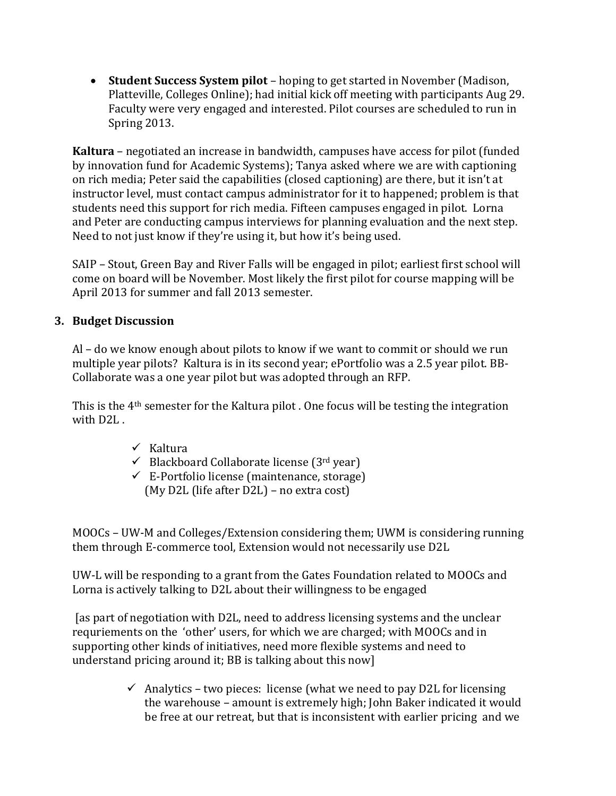• **Student Success System pilot** – hoping to get started in November (Madison, Platteville, Colleges Online); had initial kick off meeting with participants Aug 29. Faculty were very engaged and interested. Pilot courses are scheduled to run in Spring 2013.

**Kaltura** – negotiated an increase in bandwidth, campuses have access for pilot (funded by innovation fund for Academic Systems); Tanya asked where we are with captioning on rich media; Peter said the capabilities (closed captioning) are there, but it isn't at instructor level, must contact campus administrator for it to happened; problem is that students need this support for rich media. Fifteen campuses engaged in pilot. Lorna and Peter are conducting campus interviews for planning evaluation and the next step. Need to not just know if they're using it, but how it's being used.

SAIP – Stout, Green Bay and River Falls will be engaged in pilot; earliest first school will come on board will be November. Most likely the first pilot for course mapping will be April 2013 for summer and fall 2013 semester.

### **3. Budget Discussion**

Al – do we know enough about pilots to know if we want to commit or should we run multiple year pilots? Kaltura is in its second year; ePortfolio was a 2.5 year pilot. BB-Collaborate was a one year pilot but was adopted through an RFP.

This is the 4th semester for the Kaltura pilot . One focus will be testing the integration with D<sub>2L</sub>.

- $\checkmark$  Kaltura
- $\checkmark$  Blackboard Collaborate license (3rd year)
- $\checkmark$  E-Portfolio license (maintenance, storage) (My D2L (life after D2L) – no extra cost)

MOOCs – UW-M and Colleges/Extension considering them; UWM is considering running them through E-commerce tool, Extension would not necessarily use D2L

UW-L will be responding to a grant from the Gates Foundation related to MOOCs and Lorna is actively talking to D2L about their willingness to be engaged

[as part of negotiation with D2L, need to address licensing systems and the unclear requriements on the 'other' users, for which we are charged; with MOOCs and in supporting other kinds of initiatives, need more flexible systems and need to understand pricing around it; BB is talking about this now]

> $\checkmark$  Analytics – two pieces: license (what we need to pay D2L for licensing the warehouse – amount is extremely high; John Baker indicated it would be free at our retreat, but that is inconsistent with earlier pricing and we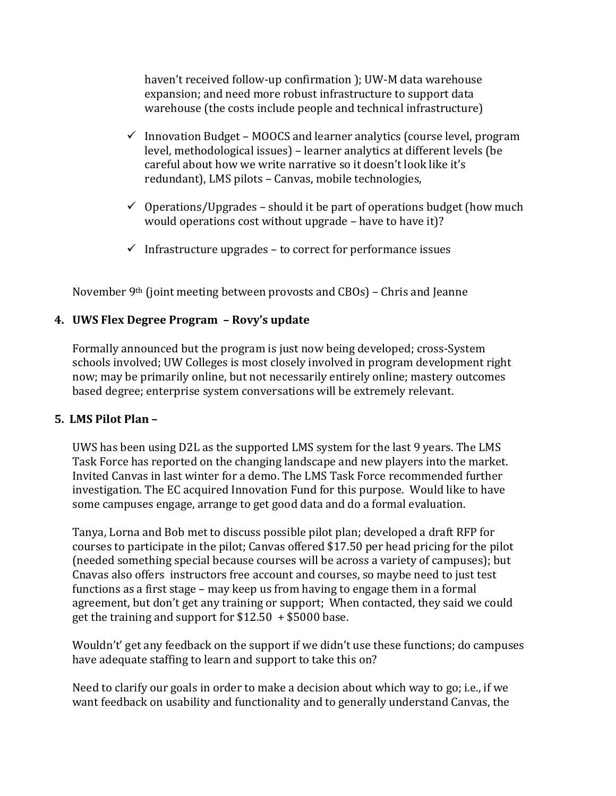haven't received follow-up confirmation ); UW-M data warehouse expansion; and need more robust infrastructure to support data warehouse (the costs include people and technical infrastructure)

- $\checkmark$  Innovation Budget MOOCS and learner analytics (course level, program level, methodological issues) – learner analytics at different levels (be careful about how we write narrative so it doesn't look like it's redundant), LMS pilots – Canvas, mobile technologies,
- $\checkmark$  Operations/Upgrades should it be part of operations budget (how much would operations cost without upgrade – have to have it)?
- $\checkmark$  Infrastructure upgrades to correct for performance issues

November 9th (joint meeting between provosts and CBOs) – Chris and Jeanne

### **4. UWS Flex Degree Program – Rovy's update**

Formally announced but the program is just now being developed; cross-System schools involved; UW Colleges is most closely involved in program development right now; may be primarily online, but not necessarily entirely online; mastery outcomes based degree; enterprise system conversations will be extremely relevant.

#### **5. LMS Pilot Plan –**

UWS has been using D2L as the supported LMS system for the last 9 years. The LMS Task Force has reported on the changing landscape and new players into the market. Invited Canvas in last winter for a demo. The LMS Task Force recommended further investigation. The EC acquired Innovation Fund for this purpose. Would like to have some campuses engage, arrange to get good data and do a formal evaluation.

Tanya, Lorna and Bob met to discuss possible pilot plan; developed a draft RFP for courses to participate in the pilot; Canvas offered \$17.50 per head pricing for the pilot (needed something special because courses will be across a variety of campuses); but Cnavas also offers instructors free account and courses, so maybe need to just test functions as a first stage – may keep us from having to engage them in a formal agreement, but don't get any training or support; When contacted, they said we could get the training and support for  $$12.50 + $5000$  base.

Wouldn't' get any feedback on the support if we didn't use these functions; do campuses have adequate staffing to learn and support to take this on?

Need to clarify our goals in order to make a decision about which way to go; i.e., if we want feedback on usability and functionality and to generally understand Canvas, the